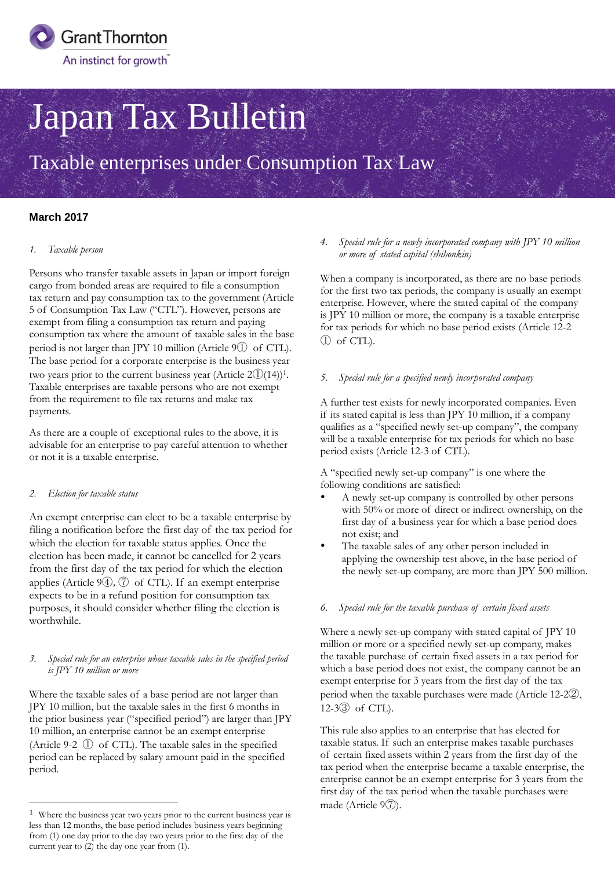

# Japan Tax Bulletin

Taxable enterprises under Consumption Tax Law

# **March 2017**

# *1. Taxable person*

Persons who transfer taxable assets in Japan or import foreign cargo from bonded areas are required to file a consumption tax return and pay consumption tax to the government (Article 5 of Consumption Tax Law ("CTL"). However, persons are exempt from filing a consumption tax return and paying consumption tax where the amount of taxable sales in the base period is not larger than JPY 10 million (Article 9① of CTL). The base period for a corporate enterprise is the business year two years prior to the current business year (Article  $2\textcircled{1}(14)$ )<sup>1</sup>. Taxable enterprises are taxable persons who are not exempt from the requirement to file tax returns and make tax payments.

As there are a couple of exceptional rules to the above, it is advisable for an enterprise to pay careful attention to whether or not it is a taxable enterprise.

# *2. Election for taxable status*

 $\overline{a}$ 

An exempt enterprise can elect to be a taxable enterprise by filing a notification before the first day of the tax period for which the election for taxable status applies. Once the election has been made, it cannot be cancelled for 2 years from the first day of the tax period for which the election applies (Article  $94$ ),  $\textcircled{7}$  of CTL). If an exempt enterprise expects to be in a refund position for consumption tax purposes, it should consider whether filing the election is worthwhile.

#### *3. Special rule for an enterprise whose taxable sales in the specified period is JPY 10 million or more*

Where the taxable sales of a base period are not larger than JPY 10 million, but the taxable sales in the first 6 months in the prior business year ("specified period") are larger than JPY 10 million, an enterprise cannot be an exempt enterprise (Article 9-2 ① of CTL). The taxable sales in the specified period can be replaced by salary amount paid in the specified period.

# *4. Special rule for a newly incorporated company with JPY 10 million or more of stated capital (shihonkin)*

When a company is incorporated, as there are no base periods for the first two tax periods, the company is usually an exempt enterprise. However, where the stated capital of the company is JPY 10 million or more, the company is a taxable enterprise for tax periods for which no base period exists (Article 12-2 ① of CTL).

#### *5. Special rule for a specified newly incorporated company*

A further test exists for newly incorporated companies. Even if its stated capital is less than JPY 10 million, if a company qualifies as a "specified newly set-up company", the company will be a taxable enterprise for tax periods for which no base period exists (Article 12-3 of CTL).

A "specified newly set-up company" is one where the following conditions are satisfied:

- A newly set-up company is controlled by other persons with 50% or more of direct or indirect ownership, on the first day of a business year for which a base period does not exist; and
- The taxable sales of any other person included in applying the ownership test above, in the base period of the newly set-up company, are more than JPY 500 million.

#### *6. Special rule for the taxable purchase of certain fixed assets*

Where a newly set-up company with stated capital of JPY 10 million or more or a specified newly set-up company, makes the taxable purchase of certain fixed assets in a tax period for which a base period does not exist, the company cannot be an exempt enterprise for 3 years from the first day of the tax period when the taxable purchases were made (Article 12-2②, 12-3③ of CTL).

This rule also applies to an enterprise that has elected for taxable status. If such an enterprise makes taxable purchases of certain fixed assets within 2 years from the first day of the tax period when the enterprise became a taxable enterprise, the enterprise cannot be an exempt enterprise for 3 years from the first day of the tax period when the taxable purchases were made (Article 9⑦).

<sup>1</sup> Where the business year two years prior to the current business year is less than 12 months, the base period includes business years beginning from (1) one day prior to the day two years prior to the first day of the current year to (2) the day one year from (1).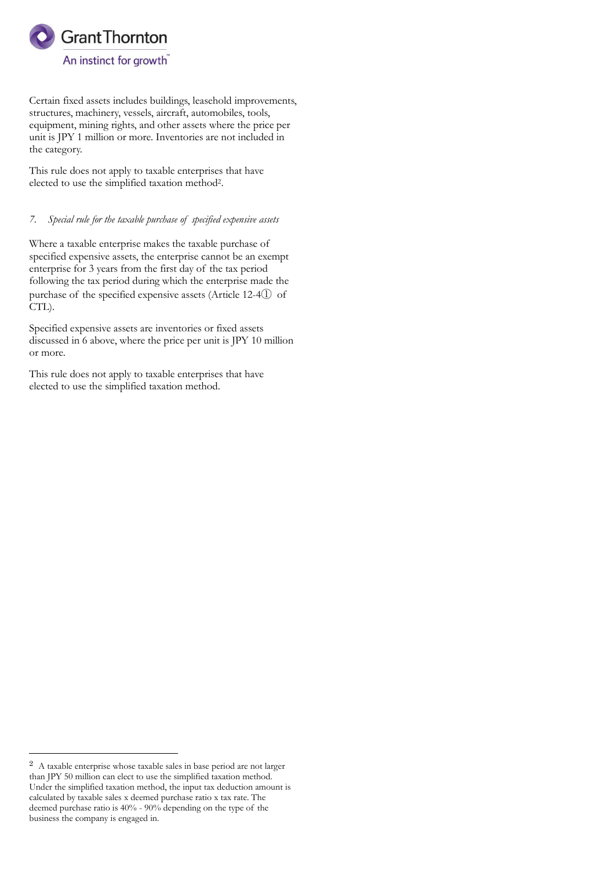

Certain fixed assets includes buildings, leasehold improvements, structures, machinery, vessels, aircraft, automobiles, tools, equipment, mining rights, and other assets where the price per unit is JPY 1 million or more. Inventories are not included in the category.

This rule does not apply to taxable enterprises that have elected to use the simplified taxation method<sup>2</sup> .

# *7. Special rule for the taxable purchase of specified expensive assets*

Where a taxable enterprise makes the taxable purchase of specified expensive assets, the enterprise cannot be an exempt enterprise for 3 years from the first day of the tax period following the tax period during which the enterprise made the purchase of the specified expensive assets (Article 12-4① of CTL).

Specified expensive assets are inventories or fixed assets discussed in 6 above, where the price per unit is JPY 10 million or more.

This rule does not apply to taxable enterprises that have elected to use the simplified taxation method.

 $\overline{a}$ 

<sup>2</sup> A taxable enterprise whose taxable sales in base period are not larger than JPY 50 million can elect to use the simplified taxation method. Under the simplified taxation method, the input tax deduction amount is calculated by taxable sales x deemed purchase ratio x tax rate. The deemed purchase ratio is 40% - 90% depending on the type of the business the company is engaged in.